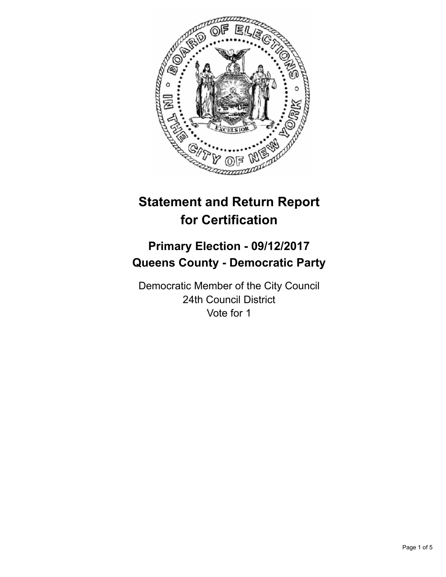

# **Statement and Return Report for Certification**

## **Primary Election - 09/12/2017 Queens County - Democratic Party**

Democratic Member of the City Council 24th Council District Vote for 1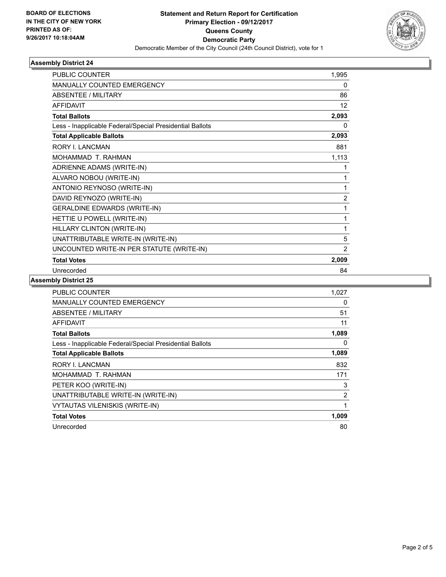

### **Assembly District 24**

| <b>PUBLIC COUNTER</b>                                    | 1,995          |
|----------------------------------------------------------|----------------|
| <b>MANUALLY COUNTED EMERGENCY</b>                        | 0              |
| ABSENTEE / MILITARY                                      | 86             |
| <b>AFFIDAVIT</b>                                         | 12             |
| <b>Total Ballots</b>                                     | 2,093          |
| Less - Inapplicable Federal/Special Presidential Ballots | 0              |
| <b>Total Applicable Ballots</b>                          | 2,093          |
| <b>RORY I. LANCMAN</b>                                   | 881            |
| MOHAMMAD T RAHMAN                                        | 1,113          |
| ADRIENNE ADAMS (WRITE-IN)                                | 1              |
| ALVARO NOBOU (WRITE-IN)                                  | 1              |
| ANTONIO REYNOSO (WRITE-IN)                               | 1              |
| DAVID REYNOZO (WRITE-IN)                                 | $\overline{2}$ |
| <b>GERALDINE EDWARDS (WRITE-IN)</b>                      | 1              |
| HETTIE U POWELL (WRITE-IN)                               | 1              |
| HILLARY CLINTON (WRITE-IN)                               | 1              |
| UNATTRIBUTABLE WRITE-IN (WRITE-IN)                       | 5              |
| UNCOUNTED WRITE-IN PER STATUTE (WRITE-IN)                | 2              |
| <b>Total Votes</b>                                       | 2,009          |
| Unrecorded                                               | 84             |

### **Assembly District 25**

| <b>PUBLIC COUNTER</b>                                    | 1,027 |
|----------------------------------------------------------|-------|
| MANUALLY COUNTED EMERGENCY                               | 0     |
| ABSENTEE / MILITARY                                      | 51    |
| <b>AFFIDAVIT</b>                                         | 11    |
| <b>Total Ballots</b>                                     | 1,089 |
| Less - Inapplicable Federal/Special Presidential Ballots | 0     |
| <b>Total Applicable Ballots</b>                          | 1,089 |
| <b>RORY I. LANCMAN</b>                                   | 832   |
| MOHAMMAD T. RAHMAN                                       | 171   |
| PETER KOO (WRITE-IN)                                     | 3     |
| UNATTRIBUTABLE WRITE-IN (WRITE-IN)                       | 2     |
| VYTAUTAS VILENISKIS (WRITE-IN)                           | 1     |
| <b>Total Votes</b>                                       | 1,009 |
| Unrecorded                                               | 80    |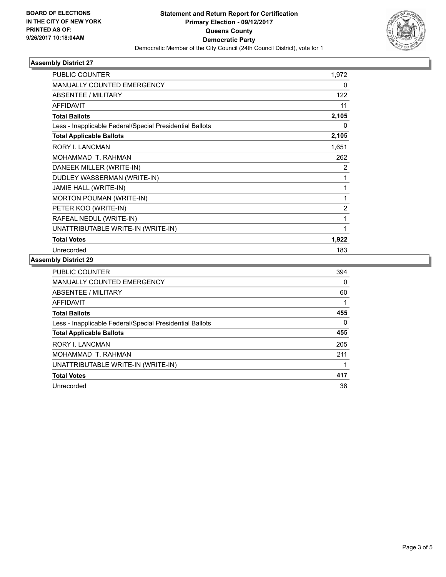

### **Assembly District 27**

| <b>PUBLIC COUNTER</b>                                    | 1,972          |
|----------------------------------------------------------|----------------|
| MANUALLY COUNTED EMERGENCY                               | 0              |
| <b>ABSENTEE / MILITARY</b>                               | 122            |
| <b>AFFIDAVIT</b>                                         | 11             |
| <b>Total Ballots</b>                                     | 2,105          |
| Less - Inapplicable Federal/Special Presidential Ballots | 0              |
| <b>Total Applicable Ballots</b>                          | 2,105          |
| <b>RORY I. LANCMAN</b>                                   | 1,651          |
| MOHAMMAD T. RAHMAN                                       | 262            |
| DANEEK MILLER (WRITE-IN)                                 | 2              |
| DUDLEY WASSERMAN (WRITE-IN)                              | 1              |
| JAMIE HALL (WRITE-IN)                                    | 1              |
| <b>MORTON POUMAN (WRITE-IN)</b>                          | 1              |
| PETER KOO (WRITE-IN)                                     | $\overline{2}$ |
| RAFEAL NEDUL (WRITE-IN)                                  | 1              |
| UNATTRIBUTABLE WRITE-IN (WRITE-IN)                       | 1              |
| <b>Total Votes</b>                                       | 1,922          |
| Unrecorded                                               | 183            |

### **Assembly District 29**

| <b>PUBLIC COUNTER</b>                                    | 394 |
|----------------------------------------------------------|-----|
| <b>MANUALLY COUNTED EMERGENCY</b>                        | 0   |
| ABSENTEE / MILITARY                                      | 60  |
| AFFIDAVIT                                                |     |
| <b>Total Ballots</b>                                     | 455 |
| Less - Inapplicable Federal/Special Presidential Ballots | 0   |
| <b>Total Applicable Ballots</b>                          | 455 |
| <b>RORY I. LANCMAN</b>                                   | 205 |
| MOHAMMAD T. RAHMAN                                       | 211 |
| UNATTRIBUTABLE WRITE-IN (WRITE-IN)                       | 1   |
| <b>Total Votes</b>                                       | 417 |
| Unrecorded                                               | 38  |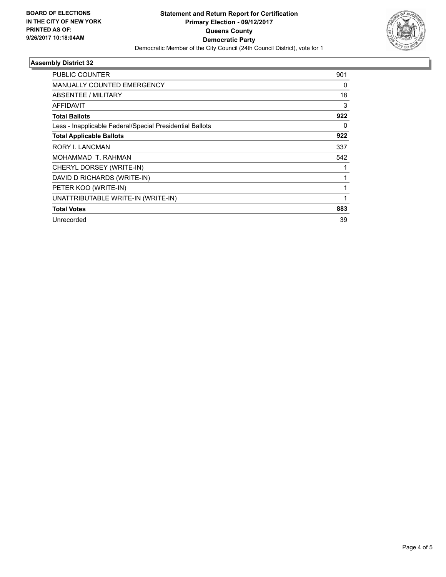

### **Assembly District 32**

| PUBLIC COUNTER                                           | 901 |
|----------------------------------------------------------|-----|
| <b>MANUALLY COUNTED EMERGENCY</b>                        | 0   |
| ABSENTEE / MILITARY                                      | 18  |
| <b>AFFIDAVIT</b>                                         | 3   |
| <b>Total Ballots</b>                                     | 922 |
| Less - Inapplicable Federal/Special Presidential Ballots | 0   |
| <b>Total Applicable Ballots</b>                          | 922 |
| <b>RORY I. LANCMAN</b>                                   | 337 |
| MOHAMMAD T. RAHMAN                                       | 542 |
| CHERYL DORSEY (WRITE-IN)                                 |     |
| DAVID D RICHARDS (WRITE-IN)                              |     |
| PETER KOO (WRITE-IN)                                     | 1   |
| UNATTRIBUTABLE WRITE-IN (WRITE-IN)                       |     |
| <b>Total Votes</b>                                       | 883 |
| Unrecorded                                               | 39  |